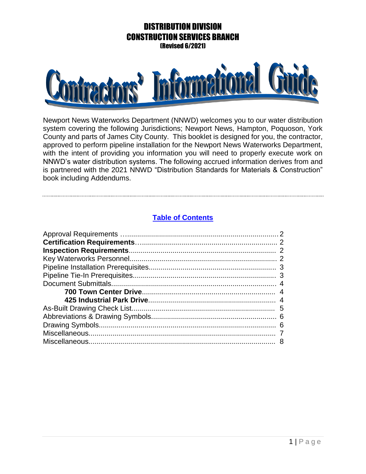

Newport News Waterworks Department (NNWD) welcomes you to our water distribution system covering the following Jurisdictions; Newport News, Hampton, Poquoson, York County and parts of James City County. This booklet is designed for you, the contractor, approved to perform pipeline installation for the Newport News Waterworks Department, with the intent of providing you information you will need to properly execute work on NNWD's water distribution systems. The following accrued information derives from and is partnered with the 2021 NNWD "Distribution Standards for Materials & Construction" book including Addendums.

## **Table of Contents**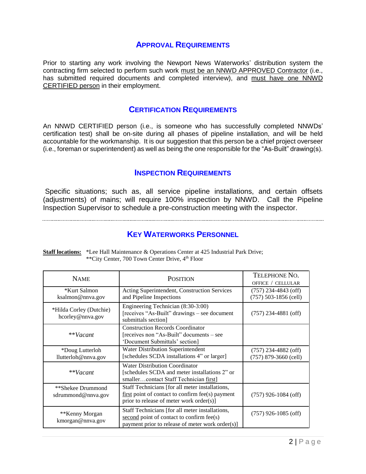## **APPROVAL REQUIREMENTS**

Prior to starting any work involving the Newport News Waterworks' distribution system the contracting firm selected to perform such work must be an NNWD APPROVED Contractor (i.e., has submitted required documents and completed interview), and must have one NNWD CERTIFIED person in their employment.

### **CERTIFICATION REQUIREMENTS**

An NNWD CERTIFIED person (i.e., is someone who has successfully completed NNWDs' certification test) shall be on-site during all phases of pipeline installation, and will be held accountable for the workmanship. It is our suggestion that this person be a chief project overseer (i.e., foreman or superintendent) as well as being the one responsible for the "As-Built" drawing(s).

### **INSPECTION REQUIREMENTS**

Specific situations; such as, all service pipeline installations, and certain offsets (adjustments) of mains; will require 100% inspection by NNWD. Call the Pipeline Inspection Supervisor to schedule a pre-construction meeting with the inspector.

# **KEY WATERWORKS PERSONNEL**

| <b>NAME</b>                                 | <b>POSITION</b>                                                                                                                                   | TELEPHONE NO.<br>OFFICE / CELLULAR                |
|---------------------------------------------|---------------------------------------------------------------------------------------------------------------------------------------------------|---------------------------------------------------|
| *Kurt Salmon<br>ksalmon@nnva.gov            | Acting Superintendent, Construction Services<br>and Pipeline Inspections                                                                          | $(757)$ 234-4843 (off)<br>$(757)$ 503-1856 (cell) |
| *Hilda Corley (Dutchie)<br>hcorley@nnva.gov | Engineering Technician (8:30-3:00)<br>[receives "As-Built" drawings – see document<br>submittals section]                                         | $(757)$ 234-4881 (off)                            |
| **Vacant                                    | <b>Construction Records Coordinator</b><br>[receives non "As-Built" documents – see<br>'Document Submittals' section]                             |                                                   |
| *Doug Lutterloh<br>llutterloh@nnva.gov      | Water Distribution Superintendent<br>[schedules SCDA installations 4" or larger]                                                                  | $(757)$ 234-4882 (off)<br>$(757)$ 879-3660 (cell) |
| **Vacant                                    | <b>Water Distribution Coordinator</b><br>[schedules SCDA and meter installations 2" or<br>smallercontact Staff Technician first]                  |                                                   |
| **Shekee Drummond<br>sdrummond@nnva.gov     | Staff Technicians [for all meter installations,<br>$first$ point of contact to confirm fee(s) payment<br>prior to release of meter work order(s)] | $(757)$ 926-1084 (off)                            |
| **Kenny Morgan<br>kmorgan@nnva.gov          | Staff Technicians [for all meter installations,<br>second point of contact to confirm fee(s)<br>payment prior to release of meter work order(s)]  | $(757)$ 926-1085 (off)                            |

**Staff locations:** \*Lee Hall Maintenance & Operations Center at 425 Industrial Park Drive; \*\*City Center, 700 Town Center Drive, 4th Floor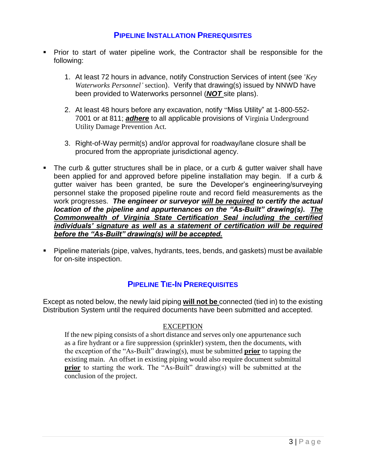## **PIPELINE INSTALLATION PREREQUISITES**

- Prior to start of water pipeline work, the Contractor shall be responsible for the following:
	- 1. At least 72 hours in advance, notify Construction Services of intent (see '*Key Waterworks Personnel'* section). Verify that drawing(s) issued by NNWD have been provided to Waterworks personnel (*NOT* site plans).
	- 2. At least 48 hours before any excavation, notify "Miss Utility" at 1-800-552- 7001 or at 811; *adhere* to all applicable provisions of Virginia Underground Utility Damage Prevention Act.
	- 3. Right-of-Way permit(s) and/or approval for roadway/lane closure shall be procured from the appropriate jurisdictional agency.
- The curb & gutter structures shall be in place, or a curb & gutter waiver shall have been applied for and approved before pipeline installation may begin. If a curb & gutter waiver has been granted, be sure the Developer's engineering/surveying personnel stake the proposed pipeline route and record field measurements as the work progresses. *The engineer or surveyor will be required to certify the actual location of the pipeline and appurtenances on the "As-Built" drawing(s). The Commonwealth of Virginia State Certification Seal including the certified individuals' signature as well as a statement of certification will be required before the "As-Built" drawing(s) will be accepted.*
- Pipeline materials (pipe, valves, hydrants, tees, bends, and gaskets) must be available for on-site inspection.

# **PIPELINE TIE-IN PREREQUISITES**

Except as noted below, the newly laid piping **will not be** connected (tied in) to the existing Distribution System until the required documents have been submitted and accepted.

### **EXCEPTION**

If the new piping consists of a short distance and serves only one appurtenance such as a fire hydrant or a fire suppression (sprinkler) system, then the documents, with the exception of the "As-Built" drawing(s), must be submitted **prior** to tapping the existing main. An offset in existing piping would also require document submittal **prior** to starting the work. The "As-Built" drawing(s) will be submitted at the conclusion of the project.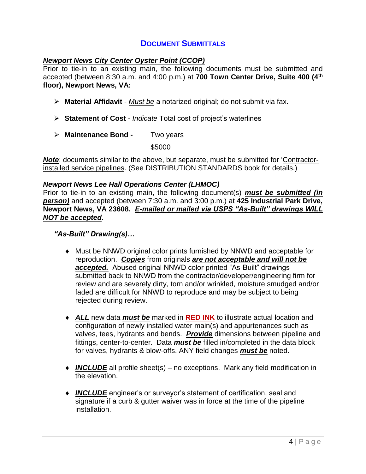# **DOCUMENT SUBMITTALS**

### *Newport News City Center Oyster Point (CCOP)*

Prior to tie-in to an existing main, the following documents must be submitted and accepted (between 8:30 a.m. and 4:00 p.m.) at **700 Town Center Drive, Suite 400 (4th floor), Newport News, VA:**

- **Material Affidavit** *Must be* a notarized original; do not submit via fax.
- **Statement of Cost** *Indicate* Total cost of project's waterlines
- **Maintenance Bond -** Two years

\$5000

*Note*: documents similar to the above, but separate, must be submitted for 'Contractorinstalled service pipelines. (See DISTRIBUTION STANDARDS book for details.)

### *Newport News Lee Hall Operations Center (LHMOC)*

Prior to tie-in to an existing main, the following document(s) *must be submitted (in person)* and accepted (between 7:30 a.m. and 3:00 p.m.) at **425 Industrial Park Drive, Newport News, VA 23608.** *E-mailed or mailed via USPS "As-Built" drawings WILL NOT be accepted***.**

### *"As-Built" Drawing(s)…*

- Must be NNWD original color prints furnished by NNWD and acceptable for reproduction. *Copies* from originals *are not acceptable and will not be accepted.* Abused original NNWD color printed "As-Built" drawings submitted back to NNWD from the contractor/developer/engineering firm for review and are severely dirty, torn and/or wrinkled, moisture smudged and/or faded are difficult for NNWD to reproduce and may be subject to being rejected during review.
- *ALL* new data *must be* marked in **RED INK** to illustrate actual location and configuration of newly installed water main(s) and appurtenances such as valves, tees, hydrants and bends. *Provide* dimensions between pipeline and fittings, center-to-center. Data *must be* filled in/completed in the data block for valves, hydrants & blow-offs. ANY field changes *must be* noted.
- ◆ *INCLUDE* all profile sheet(s) no exceptions. Mark any field modification in the elevation.
- ◆ *INCLUDE* engineer's or surveyor's statement of certification, seal and signature if a curb & gutter waiver was in force at the time of the pipeline installation.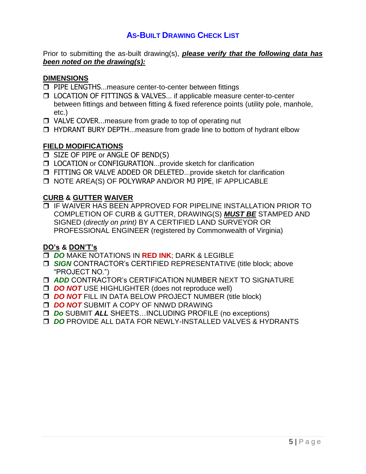# **AS-BUILT DRAWING CHECK LIST**

Prior to submitting the as-built drawing(s), *please verify that the following data has been noted on the drawing(s):*

#### **DIMENSIONS**

- **D** PIPE LENGTHS...measure center-to-center between fittings
- □ LOCATION OF FITTINGS & VALVES... if applicable measure center-to-center between fittings and between fitting & fixed reference points (utility pole, manhole, etc.)
- □ VALVE COVER...measure from grade to top of operating nut
- □ HYDRANT BURY DEPTH...measure from grade line to bottom of hydrant elbow

### **FIELD MODIFICATIONS**

- **D** SIZE OF PIPE or ANGLE OF BEND(S)
- □ LOCATION or CONFIGURATION...provide sketch for clarification
- **D** FITTING OR VALVE ADDED OR DELETED...provide sketch for clarification
- NOTE AREA(S) OF POLYWRAP AND/OR MJ PIPE, IF APPLICABLE

#### **CURB & GUTTER WAIVER**

 IF WAIVER HAS BEEN APPROVED FOR PIPELINE INSTALLATION PRIOR TO COMPLETION OF CURB & GUTTER, DRAWING(S) *MUST BE* STAMPED AND SIGNED (*directly on print)* BY A CERTIFIED LAND SURVEYOR OR PROFESSIONAL ENGINEER (registered by Commonwealth of Virginia)

### **DO's & DON'T's**

- *DO* MAKE NOTATIONS IN **RED INK**; DARK & LEGIBLE
- *SIGN* CONTRACTOR's CERTIFIED REPRESENTATIVE (title block; above "PROJECT NO.")
- *ADD* CONTRACTOR's CERTIFICATION NUMBER NEXT TO SIGNATURE
- **DO NOT USE HIGHLIGHTER (does not reproduce well)**
- **DO NOT FILL IN DATA BELOW PROJECT NUMBER (title block)**
- **DO NOT SUBMIT A COPY OF NNWD DRAWING**
- *Do* SUBMIT *ALL* SHEETS…INCLUDING PROFILE (no exceptions)
- *DO* PROVIDE ALL DATA FOR NEWLY-INSTALLED VALVES & HYDRANTS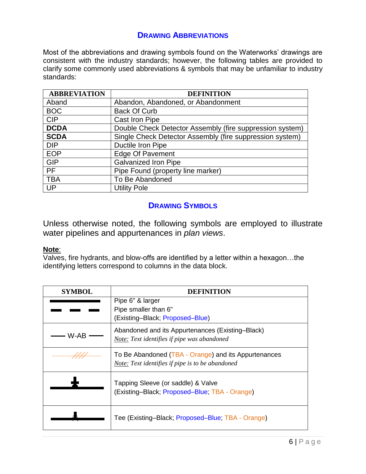## **DRAWING ABBREVIATIONS**

Most of the abbreviations and drawing symbols found on the Waterworks' drawings are consistent with the industry standards; however, the following tables are provided to clarify some commonly used abbreviations & symbols that may be unfamiliar to industry standards:

| <b>ABBREVIATION</b> | <b>DEFINITION</b>                                        |
|---------------------|----------------------------------------------------------|
| Aband               | Abandon, Abandoned, or Abandonment                       |
| <b>BOC</b>          | <b>Back Of Curb</b>                                      |
| <b>CIP</b>          | Cast Iron Pipe                                           |
| <b>DCDA</b>         | Double Check Detector Assembly (fire suppression system) |
| <b>SCDA</b>         | Single Check Detector Assembly (fire suppression system) |
| <b>DIP</b>          | Ductile Iron Pipe                                        |
| <b>EOP</b>          | <b>Edge Of Pavement</b>                                  |
| <b>GIP</b>          | <b>Galvanized Iron Pipe</b>                              |
| <b>PF</b>           | Pipe Found (property line marker)                        |
| <b>TBA</b>          | To Be Abandoned                                          |
| UP                  | <b>Utility Pole</b>                                      |

## **DRAWING SYMBOLS**

Unless otherwise noted, the following symbols are employed to illustrate water pipelines and appurtenances in *plan views*.

### **Note**:

Valves, fire hydrants, and blow-offs are identified by a letter within a hexagon…the identifying letters correspond to columns in the data block.

| <b>SYMBOL</b> | DEFINITION                                           |
|---------------|------------------------------------------------------|
|               | Pipe 6" & larger                                     |
|               | Pipe smaller than 6"                                 |
|               | (Existing-Black; Proposed-Blue)                      |
| W-AB          | Abandoned and its Appurtenances (Existing–Black)     |
|               | Note: Text identifies if pipe was abandoned          |
|               | To Be Abandoned (TBA - Orange) and its Appurtenances |
|               | Note: Text identifies if pipe is to be abandoned     |
|               | Tapping Sleeve (or saddle) & Valve                   |
|               | (Existing-Black; Proposed-Blue; TBA - Orange)        |
|               |                                                      |
|               |                                                      |
|               | Tee (Existing-Black; Proposed-Blue; TBA - Orange)    |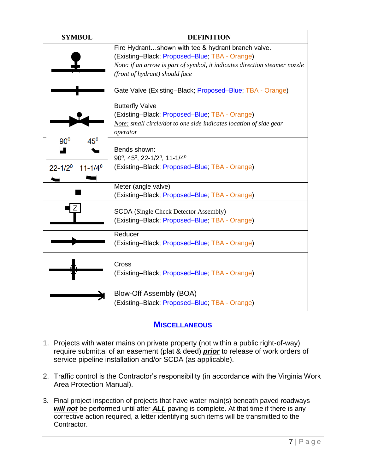| <b>SYMBOL</b>                                            | <b>DEFINITION</b>                                                                                                                                                                                                   |
|----------------------------------------------------------|---------------------------------------------------------------------------------------------------------------------------------------------------------------------------------------------------------------------|
|                                                          | Fire Hydrantshown with tee & hydrant branch valve.<br>(Existing-Black; Proposed-Blue; TBA - Orange)<br>Note: if an arrow is part of symbol, it indicates direction steamer nozzle<br>(front of hydrant) should face |
|                                                          | Gate Valve (Existing–Black; Proposed–Blue; TBA - Orange)                                                                                                                                                            |
|                                                          | <b>Butterfly Valve</b><br>(Existing-Black; Proposed-Blue; TBA - Orange)<br>Note: small circle/dot to one side indicates location of side gear<br>operator                                                           |
| 90 <sup>0</sup><br>$45^0$<br>$22 - 1/20$<br>$11 - 1/4^0$ | Bends shown:<br>$90^0$ , $45^0$ , $22-1/2^0$ , $11-1/4^0$<br>(Existing-Black; Proposed-Blue; TBA - Orange)                                                                                                          |
|                                                          | Meter (angle valve)<br>(Existing-Black; Proposed-Blue; TBA - Orange)                                                                                                                                                |
|                                                          | <b>SCDA</b> (Single Check Detector Assembly)<br>(Existing-Black; Proposed-Blue; TBA - Orange)                                                                                                                       |
|                                                          | Reducer<br>(Existing-Black; Proposed-Blue; TBA - Orange)                                                                                                                                                            |
|                                                          | Cross<br>(Existing-Black; Proposed-Blue; TBA - Orange)                                                                                                                                                              |
|                                                          | Blow-Off Assembly (BOA)<br>(Existing-Black; Proposed-Blue; TBA - Orange)                                                                                                                                            |

# **MISCELLANEOUS**

- 1. Projects with water mains on private property (not within a public right-of-way) require submittal of an easement (plat & deed) *prior* to release of work orders of service pipeline installation and/or SCDA (as applicable).
- 2. Traffic control is the Contractor's responsibility (in accordance with the Virginia Work Area Protection Manual).
- 3. Final project inspection of projects that have water main(s) beneath paved roadways **will not** be performed until after **ALL** paving is complete. At that time if there is any corrective action required, a letter identifying such items will be transmitted to the Contractor.